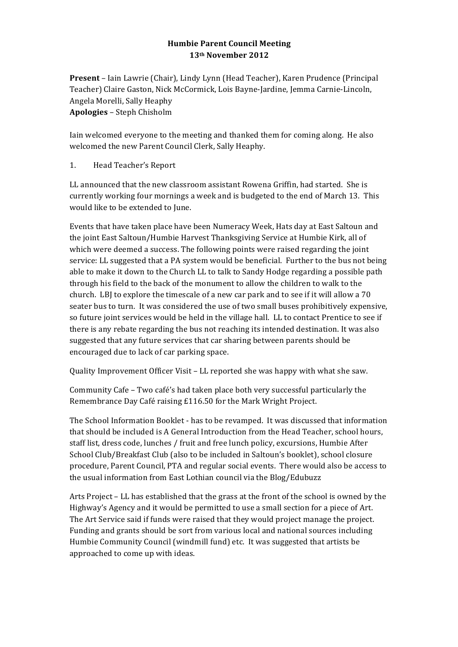## **Humbie Parent Council Meeting 13th November 2012**

**Present** - Iain Lawrie (Chair), Lindy Lynn (Head Teacher), Karen Prudence (Principal Teacher) Claire Gaston, Nick McCormick, Lois Bayne-Jardine, Jemma Carnie-Lincoln, Angela Morelli, Sally Heaphy

**Apologies** – Steph Chisholm

Iain welcomed everyone to the meeting and thanked them for coming along. He also welcomed the new Parent Council Clerk, Sally Heaphy.

1. Head Teacher's Report

LL announced that the new classroom assistant Rowena Griffin, had started. She is currently working four mornings a week and is budgeted to the end of March 13. This would like to be extended to June.

Events that have taken place have been Numeracy Week, Hats day at East Saltoun and the joint East Saltoun/Humbie Harvest Thanksgiving Service at Humbie Kirk, all of which were deemed a success. The following points were raised regarding the joint service: LL suggested that a PA system would be beneficial. Further to the bus not being able to make it down to the Church LL to talk to Sandy Hodge regarding a possible path through his field to the back of the monument to allow the children to walk to the church. LBJ to explore the timescale of a new car park and to see if it will allow a 70 seater bus to turn. It was considered the use of two small buses prohibitively expensive, so future joint services would be held in the village hall. LL to contact Prentice to see if there is any rebate regarding the bus not reaching its intended destination. It was also suggested that any future services that car sharing between parents should be encouraged due to lack of car parking space.

Quality Improvement Officer Visit – LL reported she was happy with what she saw.

Community Cafe - Two café's had taken place both very successful particularly the Remembrance Day Café raising £116.50 for the Mark Wright Project.

The School Information Booklet - has to be revamped. It was discussed that information that should be included is A General Introduction from the Head Teacher, school hours, staff list, dress code, lunches / fruit and free lunch policy, excursions, Humbie After School Club/Breakfast Club (also to be included in Saltoun's booklet), school closure procedure, Parent Council, PTA and regular social events. There would also be access to the usual information from East Lothian council via the Blog/Edubuzz

Arts Project – LL has established that the grass at the front of the school is owned by the Highway's Agency and it would be permitted to use a small section for a piece of Art. The Art Service said if funds were raised that they would project manage the project. Funding and grants should be sort from various local and national sources including Humbie Community Council (windmill fund) etc. It was suggested that artists be approached to come up with ideas.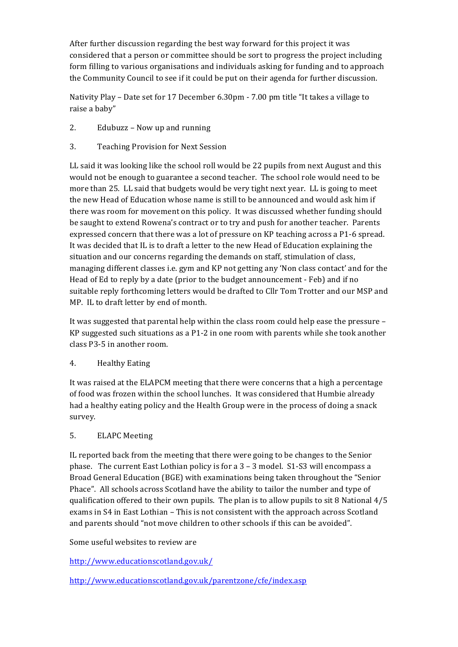After further discussion regarding the best way forward for this project it was considered that a person or committee should be sort to progress the project including form filling to various organisations and individuals asking for funding and to approach the Community Council to see if it could be put on their agenda for further discussion.

Nativity Play – Date set for 17 December  $6.30 \text{pm}$  - 7.00 pm title "It takes a village to raise a baby"

- 2. Edubuzz Now up and running
- 3. Teaching Provision for Next Session

LL said it was looking like the school roll would be 22 pupils from next August and this would not be enough to guarantee a second teacher. The school role would need to be more than 25. LL said that budgets would be very tight next year. LL is going to meet the new Head of Education whose name is still to be announced and would ask him if there was room for movement on this policy. It was discussed whether funding should be saught to extend Rowena's contract or to try and push for another teacher. Parents expressed concern that there was a lot of pressure on KP teaching across a P1-6 spread. It was decided that IL is to draft a letter to the new Head of Education explaining the situation and our concerns regarding the demands on staff, stimulation of class, managing different classes i.e. gym and KP not getting any 'Non class contact' and for the Head of Ed to reply by a date (prior to the budget announcement - Feb) and if no suitable reply forthcoming letters would be drafted to Cllr Tom Trotter and our MSP and MP. IL to draft letter by end of month.

It was suggested that parental help within the class room could help ease the pressure  $-$ KP suggested such situations as a  $P1-2$  in one room with parents while she took another class P3-5 in another room.

## 4. Healthy Eating

It was raised at the ELAPCM meeting that there were concerns that a high a percentage of food was frozen within the school lunches. It was considered that Humbie already had a healthy eating policy and the Health Group were in the process of doing a snack survey.

## 5. ELAPC Meeting

IL reported back from the meeting that there were going to be changes to the Senior phase. The current East Lothian policy is for a  $3 - 3$  model. S1-S3 will encompass a Broad General Education (BGE) with examinations being taken throughout the "Senior Phace". All schools across Scotland have the ability to tailor the number and type of qualification offered to their own pupils. The plan is to allow pupils to sit 8 National  $4/5$ exams in S4 in East Lothian – This is not consistent with the approach across Scotland and parents should "not move children to other schools if this can be avoided".

## Some useful websites to review are

http://www.educationscotland.gov.uk/

http://www.educationscotland.gov.uk/parentzone/cfe/index.asp